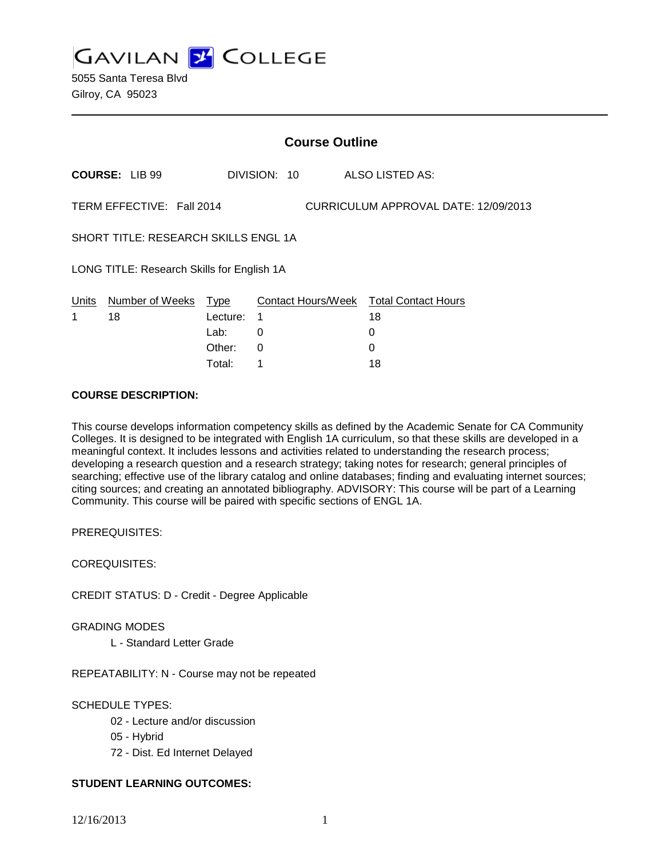**GAVILAN Z COLLEGE** 

|                                                                   | <b>Course Outline</b> |          |              |  |                                        |  |
|-------------------------------------------------------------------|-----------------------|----------|--------------|--|----------------------------------------|--|
|                                                                   | <b>COURSE: LIB 99</b> |          | DIVISION: 10 |  | ALSO LISTED AS:                        |  |
| TERM EFFECTIVE: Fall 2014<br>CURRICULUM APPROVAL DATE: 12/09/2013 |                       |          |              |  |                                        |  |
| SHORT TITLE: RESEARCH SKILLS ENGL 1A                              |                       |          |              |  |                                        |  |
| LONG TITLE: Research Skills for English 1A                        |                       |          |              |  |                                        |  |
| Units                                                             | Number of Weeks Type  |          |              |  | Contact Hours/Week Total Contact Hours |  |
| 1.                                                                | 18                    | Lecture: | 1            |  | 18                                     |  |
|                                                                   |                       | Lab:     | 0            |  | 0                                      |  |
|                                                                   |                       | Other:   | 0            |  | 0                                      |  |
|                                                                   |                       | Total:   | 1            |  | 18                                     |  |

### **COURSE DESCRIPTION:**

This course develops information competency skills as defined by the Academic Senate for CA Community Colleges. It is designed to be integrated with English 1A curriculum, so that these skills are developed in a meaningful context. It includes lessons and activities related to understanding the research process; developing a research question and a research strategy; taking notes for research; general principles of searching; effective use of the library catalog and online databases; finding and evaluating internet sources; citing sources; and creating an annotated bibliography. ADVISORY: This course will be part of a Learning Community. This course will be paired with specific sections of ENGL 1A.

PREREQUISITES:

COREQUISITES:

CREDIT STATUS: D - Credit - Degree Applicable

GRADING MODES

L - Standard Letter Grade

REPEATABILITY: N - Course may not be repeated

## SCHEDULE TYPES:

- 02 Lecture and/or discussion
- 05 Hybrid
- 72 Dist. Ed Internet Delayed

## **STUDENT LEARNING OUTCOMES:**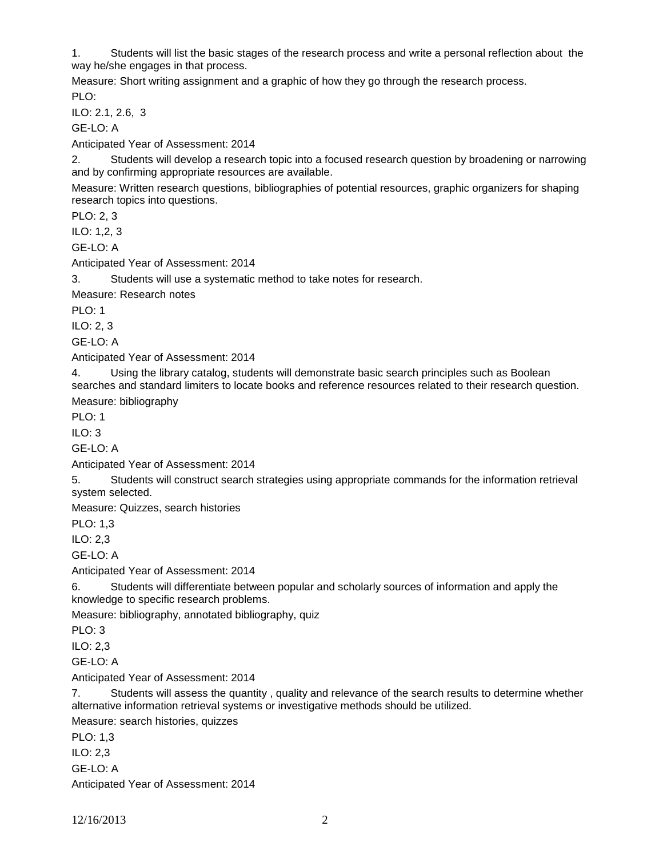1. Students will list the basic stages of the research process and write a personal reflection about the way he/she engages in that process.

Measure: Short writing assignment and a graphic of how they go through the research process. PLO:

ILO: 2.1, 2.6, 3

GE-LO: A

Anticipated Year of Assessment: 2014

2. Students will develop a research topic into a focused research question by broadening or narrowing and by confirming appropriate resources are available.

Measure: Written research questions, bibliographies of potential resources, graphic organizers for shaping research topics into questions.

PLO: 2, 3

ILO: 1,2, 3

GE-LO: A

Anticipated Year of Assessment: 2014

3. Students will use a systematic method to take notes for research.

Measure: Research notes

PLO: 1

ILO: 2, 3

GE-LO: A

Anticipated Year of Assessment: 2014

4. Using the library catalog, students will demonstrate basic search principles such as Boolean searches and standard limiters to locate books and reference resources related to their research question.

Measure: bibliography

PLO: 1

 $II$  O: 3

GE-LO: A

Anticipated Year of Assessment: 2014

5. Students will construct search strategies using appropriate commands for the information retrieval system selected.

Measure: Quizzes, search histories

PLO: 1,3

ILO: 2,3

GE-LO: A

Anticipated Year of Assessment: 2014

6. Students will differentiate between popular and scholarly sources of information and apply the knowledge to specific research problems.

Measure: bibliography, annotated bibliography, quiz

PLO: 3

ILO: 2,3

 $GF-I O<sup>T</sup> A$ 

Anticipated Year of Assessment: 2014

7. Students will assess the quantity , quality and relevance of the search results to determine whether alternative information retrieval systems or investigative methods should be utilized.

Measure: search histories, quizzes

PLO: 1,3

ILO: 2,3

GE-LO: A

Anticipated Year of Assessment: 2014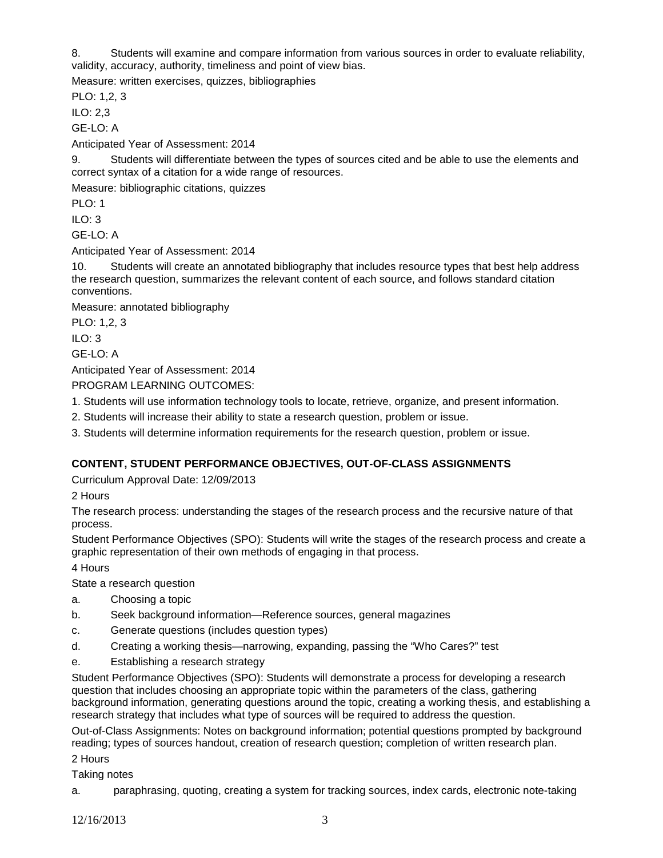8. Students will examine and compare information from various sources in order to evaluate reliability, validity, accuracy, authority, timeliness and point of view bias.

Measure: written exercises, quizzes, bibliographies

PLO: 1,2, 3

ILO: 2,3

GE-LO: A

Anticipated Year of Assessment: 2014

9. Students will differentiate between the types of sources cited and be able to use the elements and correct syntax of a citation for a wide range of resources.

Measure: bibliographic citations, quizzes

PLO: 1

ILO: 3

GE-LO: A

Anticipated Year of Assessment: 2014

10. Students will create an annotated bibliography that includes resource types that best help address the research question, summarizes the relevant content of each source, and follows standard citation conventions.

Measure: annotated bibliography

PLO: 1,2, 3

 $II$  O: 3

GE-LO: A

Anticipated Year of Assessment: 2014

PROGRAM LEARNING OUTCOMES:

- 1. Students will use information technology tools to locate, retrieve, organize, and present information.
- 2. Students will increase their ability to state a research question, problem or issue.
- 3. Students will determine information requirements for the research question, problem or issue.

## **CONTENT, STUDENT PERFORMANCE OBJECTIVES, OUT-OF-CLASS ASSIGNMENTS**

Curriculum Approval Date: 12/09/2013

2 Hours

The research process: understanding the stages of the research process and the recursive nature of that process.

Student Performance Objectives (SPO): Students will write the stages of the research process and create a graphic representation of their own methods of engaging in that process.

4 Hours

State a research question

- a. Choosing a topic
- b. Seek background information—Reference sources, general magazines
- c. Generate questions (includes question types)
- d. Creating a working thesis—narrowing, expanding, passing the "Who Cares?" test
- e. Establishing a research strategy

Student Performance Objectives (SPO): Students will demonstrate a process for developing a research question that includes choosing an appropriate topic within the parameters of the class, gathering background information, generating questions around the topic, creating a working thesis, and establishing a research strategy that includes what type of sources will be required to address the question.

Out-of-Class Assignments: Notes on background information; potential questions prompted by background reading; types of sources handout, creation of research question; completion of written research plan.

2 Hours

Taking notes

a. paraphrasing, quoting, creating a system for tracking sources, index cards, electronic note-taking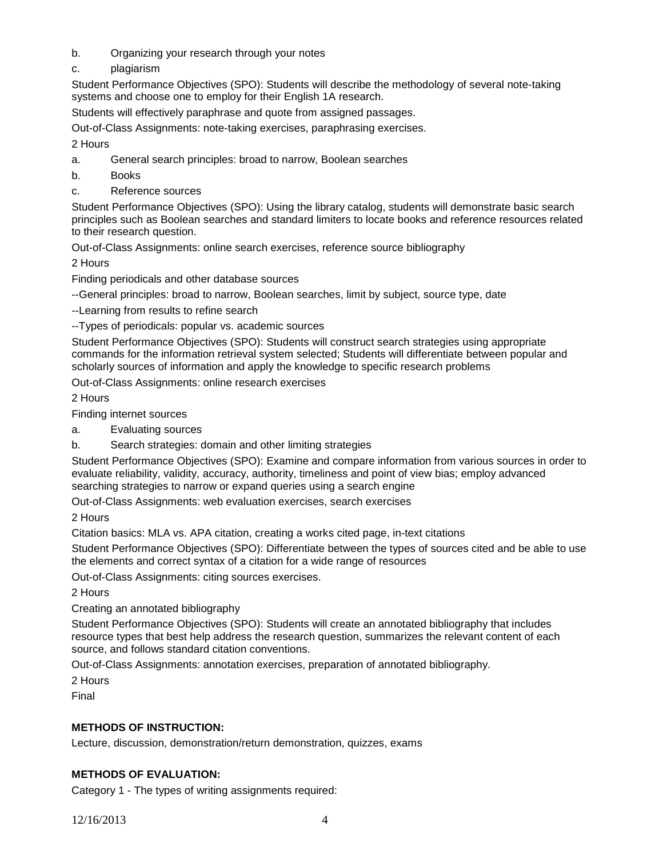- b. Organizing your research through your notes
- c. plagiarism

Student Performance Objectives (SPO): Students will describe the methodology of several note-taking systems and choose one to employ for their English 1A research.

Students will effectively paraphrase and quote from assigned passages.

Out-of-Class Assignments: note-taking exercises, paraphrasing exercises.

2 Hours

- a. General search principles: broad to narrow, Boolean searches
- b. Books
- c. Reference sources

Student Performance Objectives (SPO): Using the library catalog, students will demonstrate basic search principles such as Boolean searches and standard limiters to locate books and reference resources related to their research question.

Out-of-Class Assignments: online search exercises, reference source bibliography

2 Hours

Finding periodicals and other database sources

--General principles: broad to narrow, Boolean searches, limit by subject, source type, date

--Learning from results to refine search

--Types of periodicals: popular vs. academic sources

Student Performance Objectives (SPO): Students will construct search strategies using appropriate commands for the information retrieval system selected; Students will differentiate between popular and scholarly sources of information and apply the knowledge to specific research problems

Out-of-Class Assignments: online research exercises

2 Hours

Finding internet sources

- a. Evaluating sources
- b. Search strategies: domain and other limiting strategies

Student Performance Objectives (SPO): Examine and compare information from various sources in order to evaluate reliability, validity, accuracy, authority, timeliness and point of view bias; employ advanced searching strategies to narrow or expand queries using a search engine

Out-of-Class Assignments: web evaluation exercises, search exercises

2 Hours

Citation basics: MLA vs. APA citation, creating a works cited page, in-text citations

Student Performance Objectives (SPO): Differentiate between the types of sources cited and be able to use the elements and correct syntax of a citation for a wide range of resources

Out-of-Class Assignments: citing sources exercises.

2 Hours

Creating an annotated bibliography

Student Performance Objectives (SPO): Students will create an annotated bibliography that includes resource types that best help address the research question, summarizes the relevant content of each source, and follows standard citation conventions.

Out-of-Class Assignments: annotation exercises, preparation of annotated bibliography.

2 Hours

Final

# **METHODS OF INSTRUCTION:**

Lecture, discussion, demonstration/return demonstration, quizzes, exams

# **METHODS OF EVALUATION:**

Category 1 - The types of writing assignments required: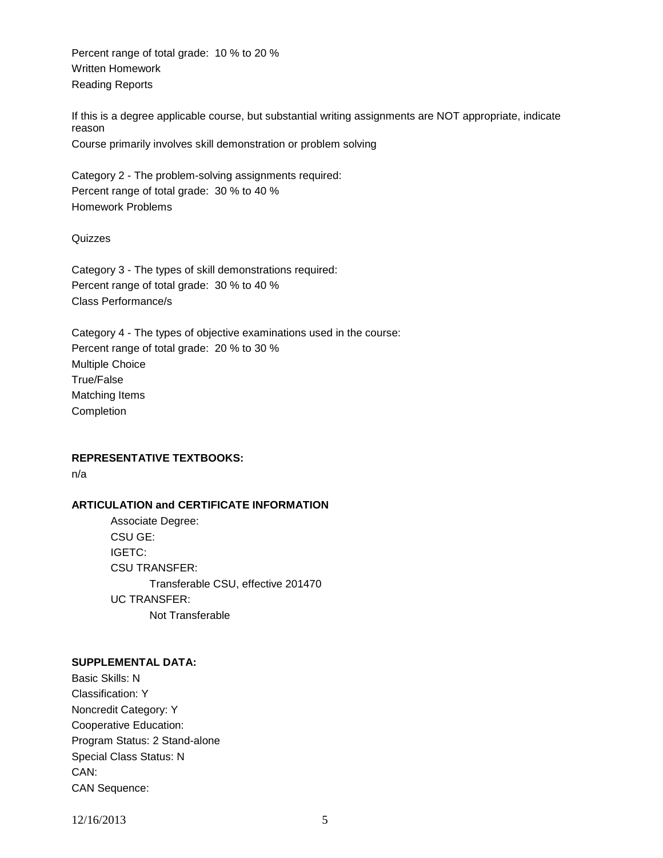Percent range of total grade: 10 % to 20 % Written Homework Reading Reports

If this is a degree applicable course, but substantial writing assignments are NOT appropriate, indicate reason Course primarily involves skill demonstration or problem solving

Category 2 - The problem-solving assignments required: Percent range of total grade: 30 % to 40 % Homework Problems

Quizzes

Category 3 - The types of skill demonstrations required: Percent range of total grade: 30 % to 40 % Class Performance/s

Category 4 - The types of objective examinations used in the course: Percent range of total grade: 20 % to 30 % Multiple Choice True/False Matching Items Completion

**REPRESENTATIVE TEXTBOOKS:**

n/a

#### **ARTICULATION and CERTIFICATE INFORMATION**

Associate Degree: CSU GE: IGETC: CSU TRANSFER: Transferable CSU, effective 201470 UC TRANSFER: Not Transferable

### **SUPPLEMENTAL DATA:**

Basic Skills: N Classification: Y Noncredit Category: Y Cooperative Education: Program Status: 2 Stand-alone Special Class Status: N CAN: CAN Sequence:

12/16/2013 5